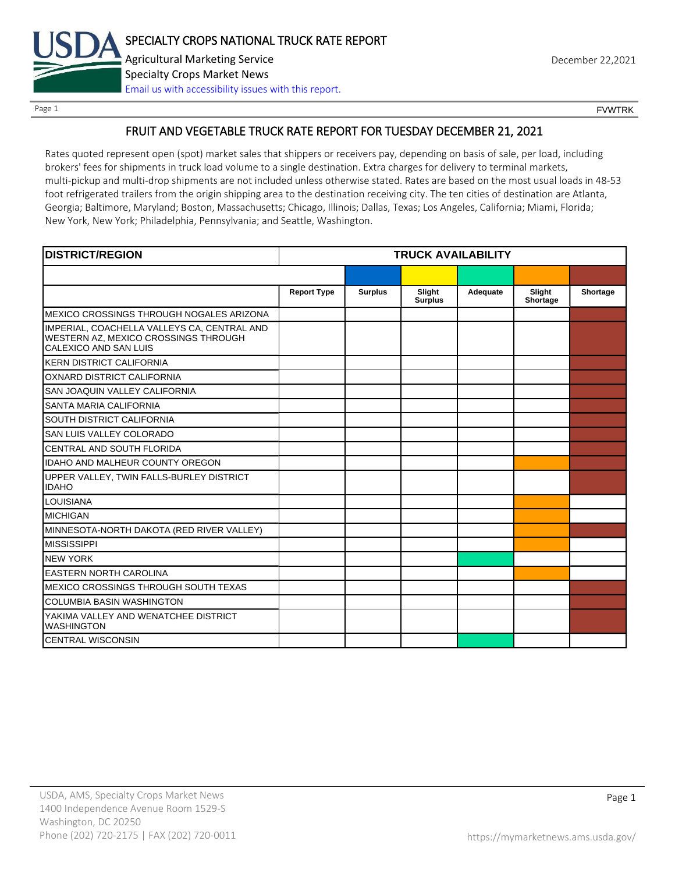

Page 1 FOUNTRK CONTROL CONTROL CONTROL CONTROL CONTROL CONTROL CONTROL CONTROL CONTROL CONTROL CONTROL CONTROL CONTROL CONTROL CONTROL CONTROL CONTROL CONTROL CONTROL CONTROL CONTROL CONTROL CONTROL CONTROL CONTROL CONTROL

## FRUIT AND VEGETABLE TRUCK RATE REPORT FOR TUESDAY DECEMBER 21, 2021

Rates quoted represent open (spot) market sales that shippers or receivers pay, depending on basis of sale, per load, including brokers' fees for shipments in truck load volume to a single destination. Extra charges for delivery to terminal markets, multi-pickup and multi-drop shipments are not included unless otherwise stated. Rates are based on the most usual loads in 48-53 foot refrigerated trailers from the origin shipping area to the destination receiving city. The ten cities of destination are Atlanta, Georgia; Baltimore, Maryland; Boston, Massachusetts; Chicago, Illinois; Dallas, Texas; Los Angeles, California; Miami, Florida; New York, New York; Philadelphia, Pennsylvania; and Seattle, Washington.

| <b>DISTRICT/REGION</b>                                                                                       | <b>TRUCK AVAILABILITY</b> |                |                          |          |                    |          |
|--------------------------------------------------------------------------------------------------------------|---------------------------|----------------|--------------------------|----------|--------------------|----------|
|                                                                                                              |                           |                |                          |          |                    |          |
|                                                                                                              | <b>Report Type</b>        | <b>Surplus</b> | Slight<br><b>Surplus</b> | Adequate | Slight<br>Shortage | Shortage |
| MEXICO CROSSINGS THROUGH NOGALES ARIZONA                                                                     |                           |                |                          |          |                    |          |
| IMPERIAL, COACHELLA VALLEYS CA, CENTRAL AND<br>WESTERN AZ, MEXICO CROSSINGS THROUGH<br>CALEXICO AND SAN LUIS |                           |                |                          |          |                    |          |
| <b>KERN DISTRICT CALIFORNIA</b>                                                                              |                           |                |                          |          |                    |          |
| OXNARD DISTRICT CALIFORNIA                                                                                   |                           |                |                          |          |                    |          |
| SAN JOAQUIN VALLEY CALIFORNIA                                                                                |                           |                |                          |          |                    |          |
| SANTA MARIA CALIFORNIA                                                                                       |                           |                |                          |          |                    |          |
| SOUTH DISTRICT CALIFORNIA                                                                                    |                           |                |                          |          |                    |          |
| SAN LUIS VALLEY COLORADO                                                                                     |                           |                |                          |          |                    |          |
| CENTRAL AND SOUTH FLORIDA                                                                                    |                           |                |                          |          |                    |          |
| <b>IDAHO AND MALHEUR COUNTY OREGON</b>                                                                       |                           |                |                          |          |                    |          |
| UPPER VALLEY, TWIN FALLS-BURLEY DISTRICT<br><b>IDAHO</b>                                                     |                           |                |                          |          |                    |          |
| <b>LOUISIANA</b>                                                                                             |                           |                |                          |          |                    |          |
| <b>MICHIGAN</b>                                                                                              |                           |                |                          |          |                    |          |
| MINNESOTA-NORTH DAKOTA (RED RIVER VALLEY)                                                                    |                           |                |                          |          |                    |          |
| <b>MISSISSIPPI</b>                                                                                           |                           |                |                          |          |                    |          |
| <b>NEW YORK</b>                                                                                              |                           |                |                          |          |                    |          |
| <b>EASTERN NORTH CAROLINA</b>                                                                                |                           |                |                          |          |                    |          |
| MEXICO CROSSINGS THROUGH SOUTH TEXAS                                                                         |                           |                |                          |          |                    |          |
| <b>COLUMBIA BASIN WASHINGTON</b>                                                                             |                           |                |                          |          |                    |          |
| YAKIMA VALLEY AND WENATCHEE DISTRICT<br><b>WASHINGTON</b>                                                    |                           |                |                          |          |                    |          |
| <b>CENTRAL WISCONSIN</b>                                                                                     |                           |                |                          |          |                    |          |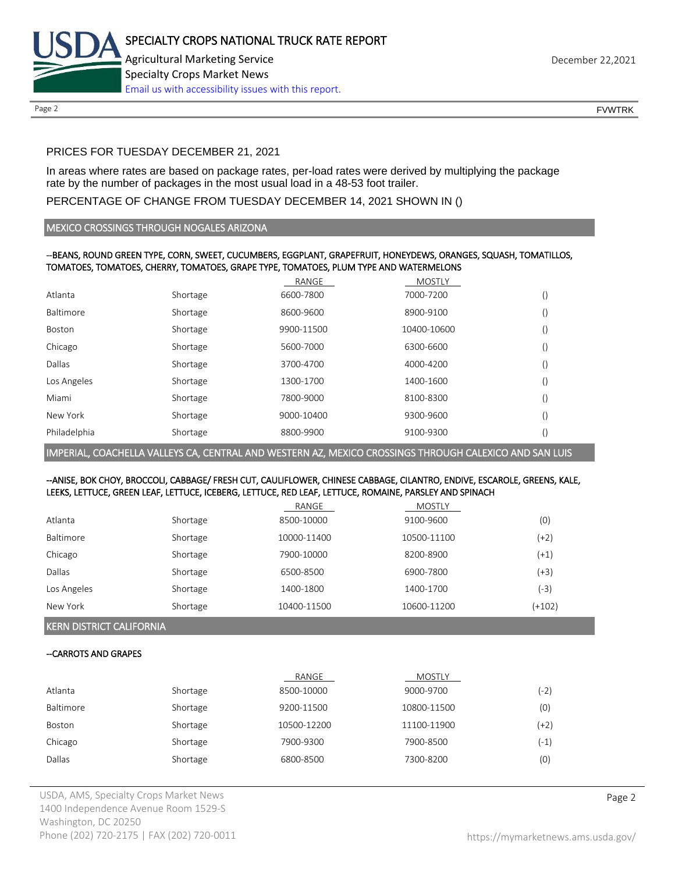

Page 2 FOUNTRK CONTROL CONTROL CONTROL CONTROL CONTROL CONTROL CONTROL CONTROL CONTROL CONTROL CONTROL CONTROL CONTROL CONTROL CONTROL CONTROL CONTROL CONTROL CONTROL CONTROL CONTROL CONTROL CONTROL CONTROL CONTROL CONTROL

# PRICES FOR TUESDAY DECEMBER 21, 2021

In areas where rates are based on package rates, per-load rates were derived by multiplying the package rate by the number of packages in the most usual load in a 48-53 foot trailer.

# PERCENTAGE OF CHANGE FROM TUESDAY DECEMBER 14, 2021 SHOWN IN ()

## MEXICO CROSSINGS THROUGH NOGALES ARIZONA

## --BEANS, ROUND GREEN TYPE, CORN, SWEET, CUCUMBERS, EGGPLANT, GRAPEFRUIT, HONEYDEWS, ORANGES, SQUASH, TOMATILLOS, TOMATOES, TOMATOES, CHERRY, TOMATOES, GRAPE TYPE, TOMATOES, PLUM TYPE AND WATERMELONS

|              |          | RANGE      | <b>MOSTLY</b> |                  |
|--------------|----------|------------|---------------|------------------|
| Atlanta      | Shortage | 6600-7800  | 7000-7200     | $\left( \right)$ |
| Baltimore    | Shortage | 8600-9600  | 8900-9100     | $\left( \right)$ |
| Boston       | Shortage | 9900-11500 | 10400-10600   | $\left( \right)$ |
| Chicago      | Shortage | 5600-7000  | 6300-6600     | $\left( \right)$ |
| Dallas       | Shortage | 3700-4700  | 4000-4200     | $\left( \right)$ |
| Los Angeles  | Shortage | 1300-1700  | 1400-1600     | $\left( \right)$ |
| Miami        | Shortage | 7800-9000  | 8100-8300     | $\left( \right)$ |
| New York     | Shortage | 9000-10400 | 9300-9600     | $\left( \right)$ |
| Philadelphia | Shortage | 8800-9900  | 9100-9300     | $\left( \right)$ |

IMPERIAL, COACHELLA VALLEYS CA, CENTRAL AND WESTERN AZ, MEXICO CROSSINGS THROUGH CALEXICO AND SAN LUIS

## --ANISE, BOK CHOY, BROCCOLI, CABBAGE/ FRESH CUT, CAULIFLOWER, CHINESE CABBAGE, CILANTRO, ENDIVE, ESCAROLE, GREENS, KALE, LEEKS, LETTUCE, GREEN LEAF, LETTUCE, ICEBERG, LETTUCE, RED LEAF, LETTUCE, ROMAINE, PARSLEY AND SPINACH

|             |          | RANGE       | MOSTLY      |          |
|-------------|----------|-------------|-------------|----------|
| Atlanta     | Shortage | 8500-10000  | 9100-9600   | (0)      |
| Baltimore   | Shortage | 10000-11400 | 10500-11100 | (+2)     |
| Chicago     | Shortage | 7900-10000  | 8200-8900   | $(+1)$   |
| Dallas      | Shortage | 6500-8500   | 6900-7800   | (+3)     |
| Los Angeles | Shortage | 1400-1800   | 1400-1700   | (-3)     |
| New York    | Shortage | 10400-11500 | 10600-11200 | $(+102)$ |

KERN DISTRICT CALIFORNIA

## --CARROTS AND GRAPES

|           |          | RANGE       | <b>MOSTLY</b> |        |
|-----------|----------|-------------|---------------|--------|
| Atlanta   | Shortage | 8500-10000  | 9000-9700     | $(-2)$ |
| Baltimore | Shortage | 9200-11500  | 10800-11500   | (0)    |
| Boston    | Shortage | 10500-12200 | 11100-11900   | (+2)   |
| Chicago   | Shortage | 7900-9300   | 7900-8500     | (-1)   |
| Dallas    | Shortage | 6800-8500   | 7300-8200     | (0)    |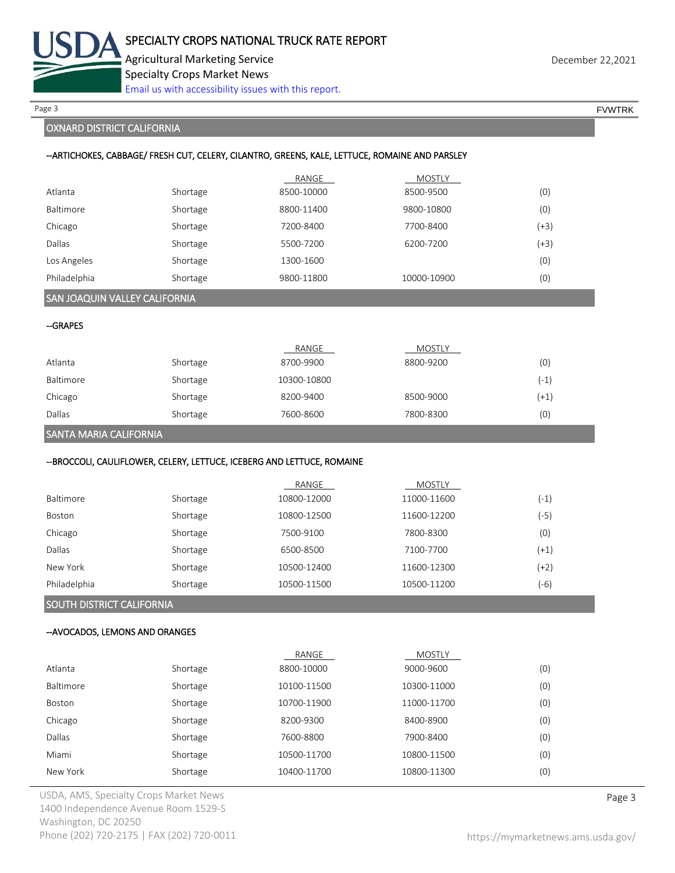

Page 3 FOUNTRK And the set of the set of the set of the set of the set of the set of the set of the set of the set of the set of the set of the set of the set of the set of the set of the set of the set of the set of the s

## OXNARD DISTRICT CALIFORNIA

#### --ARTICHOKES, CABBAGE/ FRESH CUT, CELERY, CILANTRO, GREENS, KALE, LETTUCE, ROMAINE AND PARSLEY

|              |          | RANGE      | <b>MOSTLY</b> |      |
|--------------|----------|------------|---------------|------|
| Atlanta      | Shortage | 8500-10000 | 8500-9500     | (0)  |
| Baltimore    | Shortage | 8800-11400 | 9800-10800    | (0)  |
| Chicago      | Shortage | 7200-8400  | 7700-8400     | (+3) |
| Dallas       | Shortage | 5500-7200  | 6200-7200     | (+3) |
| Los Angeles  | Shortage | 1300-1600  |               | (0)  |
| Philadelphia | Shortage | 9800-11800 | 10000-10900   | (0)  |

## SAN JOAQUIN VALLEY CALIFORNIA

--GRAPES

|           |          | RANGE       | <b>MOSTLY</b> |        |
|-----------|----------|-------------|---------------|--------|
| Atlanta   | Shortage | 8700-9900   | 8800-9200     | (0)    |
| Baltimore | Shortage | 10300-10800 |               | (-1)   |
| Chicago   | Shortage | 8200-9400   | 8500-9000     | $(+1)$ |
| Dallas    | Shortage | 7600-8600   | 7800-8300     | (0)    |

### SANTA MARIA CALIFORNIA

## --BROCCOLI, CAULIFLOWER, CELERY, LETTUCE, ICEBERG AND LETTUCE, ROMAINE

|                  |          | RANGE       | <b>MOSTLY</b> |        |
|------------------|----------|-------------|---------------|--------|
| <b>Baltimore</b> | Shortage | 10800-12000 | 11000-11600   | (-1)   |
| Boston           | Shortage | 10800-12500 | 11600-12200   | (-5)   |
| Chicago          | Shortage | 7500-9100   | 7800-8300     | (0)    |
| Dallas           | Shortage | 6500-8500   | 7100-7700     | $(+1)$ |
| New York         | Shortage | 10500-12400 | 11600-12300   | (+2)   |
| Philadelphia     | Shortage | 10500-11500 | 10500-11200   | (-6)   |

# SOUTH DISTRICT CALIFORNIA

#### --AVOCADOS, LEMONS AND ORANGES

|               |          | RANGE       | <b>MOSTLY</b> |     |
|---------------|----------|-------------|---------------|-----|
| Atlanta       | Shortage | 8800-10000  | 9000-9600     | (0) |
| Baltimore     | Shortage | 10100-11500 | 10300-11000   | (0) |
| <b>Boston</b> | Shortage | 10700-11900 | 11000-11700   | (0) |
| Chicago       | Shortage | 8200-9300   | 8400-8900     | (0) |
| Dallas        | Shortage | 7600-8800   | 7900-8400     | (0) |
| Miami         | Shortage | 10500-11700 | 10800-11500   | (0) |
| New York      | Shortage | 10400-11700 | 10800-11300   | (0) |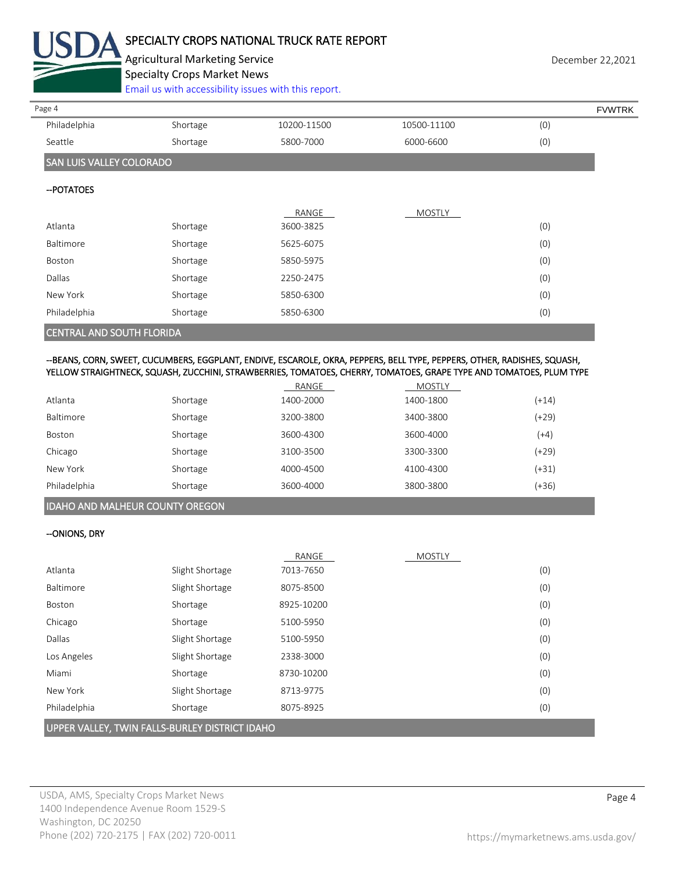

# SPECIALTY CROPS NATIONAL TRUCK RATE REPORT

Agricultural Marketing Service **December 22,2021 December 22,2021** Specialty Crops Market News

[Email us with accessibility issues with this report.](mailto:mars@ams.usda.gov?subject=508%20Inquiry/Report)

| Page 4                          |          |             |               |     | <b>FVWTRK</b> |
|---------------------------------|----------|-------------|---------------|-----|---------------|
| Philadelphia                    | Shortage | 10200-11500 | 10500-11100   | (0) |               |
| Seattle                         | Shortage | 5800-7000   | 6000-6600     | (0) |               |
| <b>SAN LUIS VALLEY COLORADO</b> |          |             |               |     |               |
| -- POTATOES                     |          |             |               |     |               |
|                                 |          | RANGE       | <b>MOSTLY</b> |     |               |
| Atlanta                         | Shortage | 3600-3825   |               | (0) |               |
| Baltimore                       | Shortage | 5625-6075   |               | (0) |               |
| Boston                          | Shortage | 5850-5975   |               | (0) |               |
| <b>Dallas</b>                   | Shortage | 2250-2475   |               | (0) |               |
| New York                        | Shortage | 5850-6300   |               | (0) |               |
| Philadelphia                    | Shortage | 5850-6300   |               | (0) |               |
| CENTRAL AND COUTLELODIDA        |          |             |               |     |               |

## CENTRAL AND SOUTH FLORIDA

## --BEANS, CORN, SWEET, CUCUMBERS, EGGPLANT, ENDIVE, ESCAROLE, OKRA, PEPPERS, BELL TYPE, PEPPERS, OTHER, RADISHES, SQUASH, YELLOW STRAIGHTNECK, SQUASH, ZUCCHINI, STRAWBERRIES, TOMATOES, CHERRY, TOMATOES, GRAPE TYPE AND TOMATOES, PLUM TYPE

|                  |          | RANGE     | <b>MOSTLY</b> |         |
|------------------|----------|-----------|---------------|---------|
| Atlanta          | Shortage | 1400-2000 | 1400-1800     | $(+14)$ |
| <b>Baltimore</b> | Shortage | 3200-3800 | 3400-3800     | $(+29)$ |
| Boston           | Shortage | 3600-4300 | 3600-4000     | (+4)    |
| Chicago          | Shortage | 3100-3500 | 3300-3300     | $(+29)$ |
| New York         | Shortage | 4000-4500 | 4100-4300     | $(+31)$ |
| Philadelphia     | Shortage | 3600-4000 | 3800-3800     | (+36)   |

# IDAHO AND MALHEUR COUNTY OREGON

## --ONIONS, DRY

|                                                |                 | RANGE      | <b>MOSTLY</b> |     |
|------------------------------------------------|-----------------|------------|---------------|-----|
| Atlanta                                        | Slight Shortage | 7013-7650  |               | (0) |
| Baltimore                                      | Slight Shortage | 8075-8500  |               | (0) |
| Boston                                         | Shortage        | 8925-10200 |               | (0) |
| Chicago                                        | Shortage        | 5100-5950  |               | (0) |
| Dallas                                         | Slight Shortage | 5100-5950  |               | (0) |
| Los Angeles                                    | Slight Shortage | 2338-3000  |               | (0) |
| Miami                                          | Shortage        | 8730-10200 |               | (0) |
| New York                                       | Slight Shortage | 8713-9775  |               | (0) |
| Philadelphia                                   | Shortage        | 8075-8925  |               | (0) |
| UPPER VALLEY, TWIN FALLS-BURLEY DISTRICT IDAHO |                 |            |               |     |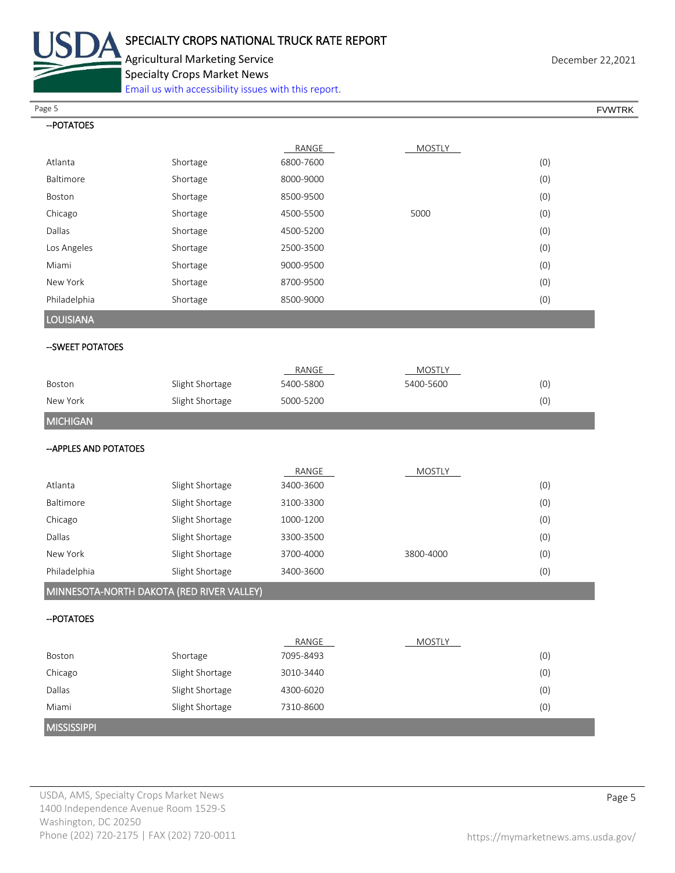

Agricultural Marketing Service **December 22,2021** Specialty Crops Market News

[Email us with accessibility issues with this report.](mailto:mars@ams.usda.gov?subject=508%20Inquiry/Report)

Page 5 FOUNTRK And the set of the set of the set of the set of the set of the set of the set of the set of the set of the set of the set of the set of the set of the set of the set of the set of the set of the set of the s

| -- POTATOES                                           |     |
|-------------------------------------------------------|-----|
| RANGE<br><b>MOSTLY</b>                                |     |
| 6800-7600<br>Atlanta<br>Shortage                      | (0) |
| Baltimore<br>8000-9000<br>Shortage                    | (0) |
| Shortage<br>Boston<br>8500-9500                       | (0) |
| Chicago<br>Shortage<br>4500-5500<br>5000              | (0) |
| Dallas<br>Shortage<br>4500-5200                       | (0) |
| Los Angeles<br>Shortage<br>2500-3500                  | (0) |
| Miami<br>Shortage<br>9000-9500                        | (0) |
| New York<br>Shortage<br>8700-9500                     | (0) |
| Philadelphia<br>Shortage<br>8500-9000                 | (0) |
| LOUISIANA                                             |     |
| -- SWEET POTATOES                                     |     |
| RANGE<br><b>MOSTLY</b>                                |     |
| Slight Shortage<br>5400-5800<br>5400-5600<br>Boston   | (0) |
| New York<br>Slight Shortage<br>5000-5200              | (0) |
| <b>MICHIGAN</b>                                       |     |
| -- APPLES AND POTATOES                                |     |
| RANGE<br><b>MOSTLY</b>                                |     |
| Atlanta<br>Slight Shortage<br>3400-3600               | (0) |
| Baltimore<br>Slight Shortage<br>3100-3300             | (0) |
| Chicago<br>Slight Shortage<br>1000-1200               | (0) |
| Dallas<br>Slight Shortage<br>3300-3500                | (0) |
| New York<br>Slight Shortage<br>3700-4000<br>3800-4000 | (0) |
| Philadelphia<br>Slight Shortage<br>3400-3600          | (0) |
| MINNESOTA-NORTH DAKOTA (RED RIVER VALLEY)             |     |
| -- POTATOES                                           |     |
| RANGE<br><b>MOSTLY</b>                                |     |
| Shortage<br>7095-8493<br>Boston                       | (0) |
| Chicago<br>Slight Shortage<br>3010-3440               | (0) |
| Dallas<br>Slight Shortage<br>4300-6020                | (0) |
| Miami<br>Slight Shortage<br>7310-8600                 | (0) |
| <b>MISSISSIPPI</b>                                    |     |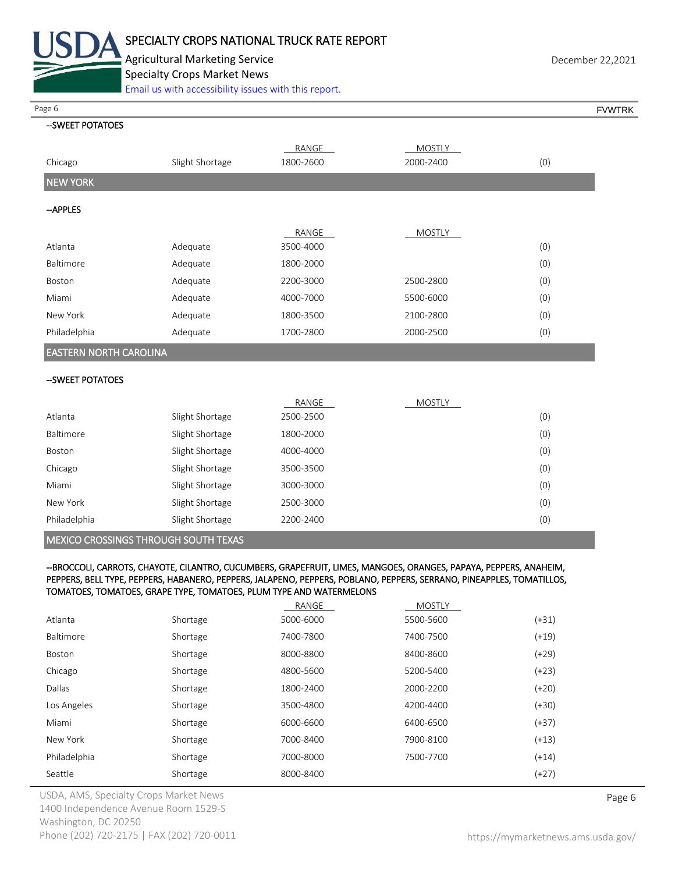

Agricultural Marketing Service **December 22,2021 December 22,2021** Specialty Crops Market News [Email us with accessibility issues with this report.](mailto:mars@ams.usda.gov?subject=508%20Inquiry/Report)

| Page 6                        |                 |           |               | <b>FVWTRK</b> |
|-------------------------------|-----------------|-----------|---------------|---------------|
| --SWEET POTATOES              |                 |           |               |               |
|                               |                 | RANGE     | <b>MOSTLY</b> |               |
| Chicago                       | Slight Shortage | 1800-2600 | 2000-2400     | (0)           |
| <b>NEW YORK</b>               |                 |           |               |               |
| --APPLES                      |                 |           |               |               |
|                               |                 |           |               |               |
|                               |                 | RANGE     | <b>MOSTLY</b> |               |
| Atlanta                       | Adequate        | 3500-4000 |               | (0)           |
| Baltimore                     | Adequate        | 1800-2000 |               | (0)           |
| Boston                        | Adequate        | 2200-3000 | 2500-2800     | (0)           |
| Miami                         | Adequate        | 4000-7000 | 5500-6000     | (0)           |
| New York                      | Adequate        | 1800-3500 | 2100-2800     | (0)           |
| Philadelphia                  | Adequate        | 1700-2800 | 2000-2500     | (0)           |
| <b>EASTERN NORTH CAROLINA</b> |                 |           |               |               |
|                               |                 |           |               |               |
| --SWEET POTATOES              |                 |           |               |               |

|                  |                 | RANGE     | <b>MOSTLY</b> |     |
|------------------|-----------------|-----------|---------------|-----|
| Atlanta          | Slight Shortage | 2500-2500 |               | (0) |
| <b>Baltimore</b> | Slight Shortage | 1800-2000 |               | (0) |
| Boston           | Slight Shortage | 4000-4000 |               | (0) |
| Chicago          | Slight Shortage | 3500-3500 |               | (0) |
| Miami            | Slight Shortage | 3000-3000 |               | (0) |
| New York         | Slight Shortage | 2500-3000 |               | (0) |
| Philadelphia     | Slight Shortage | 2200-2400 |               | (0) |

MEXICO CROSSINGS THROUGH SOUTH TEXAS

#### --BROCCOLI, CARROTS, CHAYOTE, CILANTRO, CUCUMBERS, GRAPEFRUIT, LIMES, MANGOES, ORANGES, PAPAYA, PEPPERS, ANAHEIM, PEPPERS, BELL TYPE, PEPPERS, HABANERO, PEPPERS, JALAPENO, PEPPERS, POBLANO, PEPPERS, SERRANO, PINEAPPLES, TOMATILLOS, TOMATOES, TOMATOES, GRAPE TYPE, TOMATOES, PLUM TYPE AND WATERMELONS

|              |          | RANGE     | <b>MOSTLY</b> |         |
|--------------|----------|-----------|---------------|---------|
| Atlanta      | Shortage | 5000-6000 | 5500-5600     | (+31)   |
| Baltimore    | Shortage | 7400-7800 | 7400-7500     | $(+19)$ |
| Boston       | Shortage | 8000-8800 | 8400-8600     | (+29)   |
| Chicago      | Shortage | 4800-5600 | 5200-5400     | $(+23)$ |
| Dallas       | Shortage | 1800-2400 | 2000-2200     | $(+20)$ |
| Los Angeles  | Shortage | 3500-4800 | 4200-4400     | $(+30)$ |
| Miami        | Shortage | 6000-6600 | 6400-6500     | $(+37)$ |
| New York     | Shortage | 7000-8400 | 7900-8100     | $(+13)$ |
| Philadelphia | Shortage | 7000-8000 | 7500-7700     | $(+14)$ |
| Seattle      | Shortage | 8000-8400 |               | $(+27)$ |
|              |          |           |               |         |

USDA, AMS, Specialty Crops Market News **Page 6** 1400 Independence Avenue Room 1529-S Washington, DC 20250 Phone (202) 720-2175 | FAX (202) 720-0011 <https://mymarketnews.ams.usda.gov/>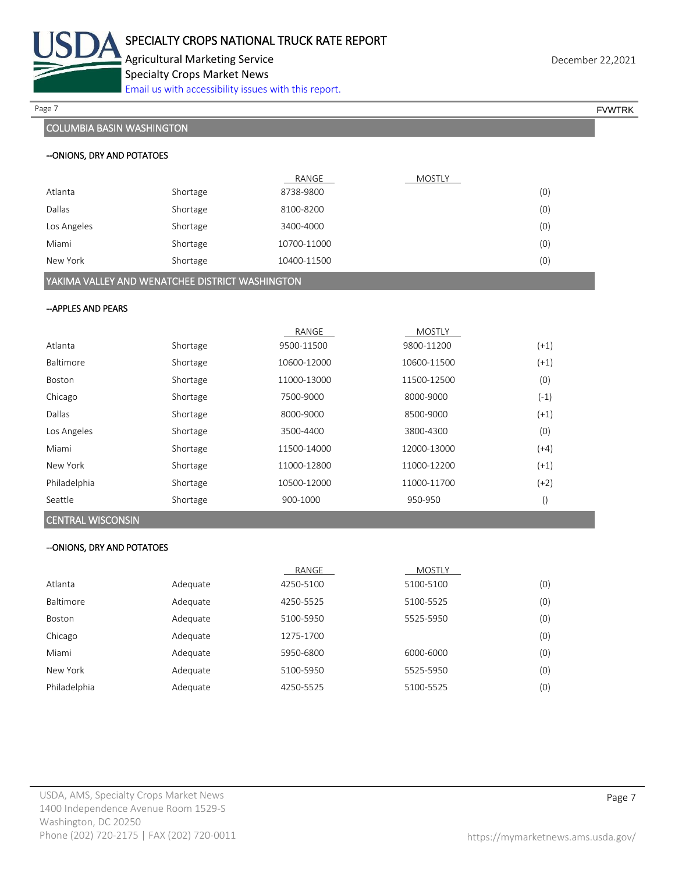

Agricultural Marketing Service **December 22,2021** Specialty Crops Market News [Email us with accessibility issues with this report.](mailto:mars@ams.usda.gov?subject=508%20Inquiry/Report)

# COLUMBIA BASIN WASHINGTON

| Page 7 | <b>EVWTRK</b> |
|--------|---------------|
|--------|---------------|

#### --ONIONS, DRY AND POTATOES

|                                                       |          | RANGE       | MOSTLY |  |
|-------------------------------------------------------|----------|-------------|--------|--|
| Atlanta                                               | Shortage | 8738-9800   | (0)    |  |
| Dallas                                                | Shortage | 8100-8200   | (0)    |  |
| Los Angeles                                           | Shortage | 3400-4000   | (0)    |  |
| Miami                                                 | Shortage | 10700-11000 | (0)    |  |
| New York                                              | Shortage | 10400-11500 | (0)    |  |
| ALLIE A A ALLIEV AND MUSIC TOUT DIGTDOT MUSIC HIMOTOM |          |             |        |  |

YAKIMA VALLEY AND WENATCHEE DISTRICT WASHINGTON

## --APPLES AND PEARS

|              |          | RANGE       | <b>MOSTLY</b> |                  |
|--------------|----------|-------------|---------------|------------------|
| Atlanta      | Shortage | 9500-11500  | 9800-11200    | $(+1)$           |
| Baltimore    | Shortage | 10600-12000 | 10600-11500   | $(+1)$           |
| Boston       | Shortage | 11000-13000 | 11500-12500   | (0)              |
| Chicago      | Shortage | 7500-9000   | 8000-9000     | $(-1)$           |
| Dallas       | Shortage | 8000-9000   | 8500-9000     | $(+1)$           |
| Los Angeles  | Shortage | 3500-4400   | 3800-4300     | (0)              |
| Miami        | Shortage | 11500-14000 | 12000-13000   | $(+4)$           |
| New York     | Shortage | 11000-12800 | 11000-12200   | $(+1)$           |
| Philadelphia | Shortage | 10500-12000 | 11000-11700   | $(+2)$           |
| Seattle      | Shortage | 900-1000    | 950-950       | $\left( \right)$ |

### CENTRAL WISCONSIN

### --ONIONS, DRY AND POTATOES

|               |          | RANGE     | <b>MOSTLY</b> |     |
|---------------|----------|-----------|---------------|-----|
| Atlanta       | Adequate | 4250-5100 | 5100-5100     | (0) |
| Baltimore     | Adequate | 4250-5525 | 5100-5525     | (0) |
| <b>Boston</b> | Adequate | 5100-5950 | 5525-5950     | (0) |
| Chicago       | Adequate | 1275-1700 |               | (0) |
| Miami         | Adequate | 5950-6800 | 6000-6000     | (0) |
| New York      | Adequate | 5100-5950 | 5525-5950     | (0) |
| Philadelphia  | Adequate | 4250-5525 | 5100-5525     | (0) |